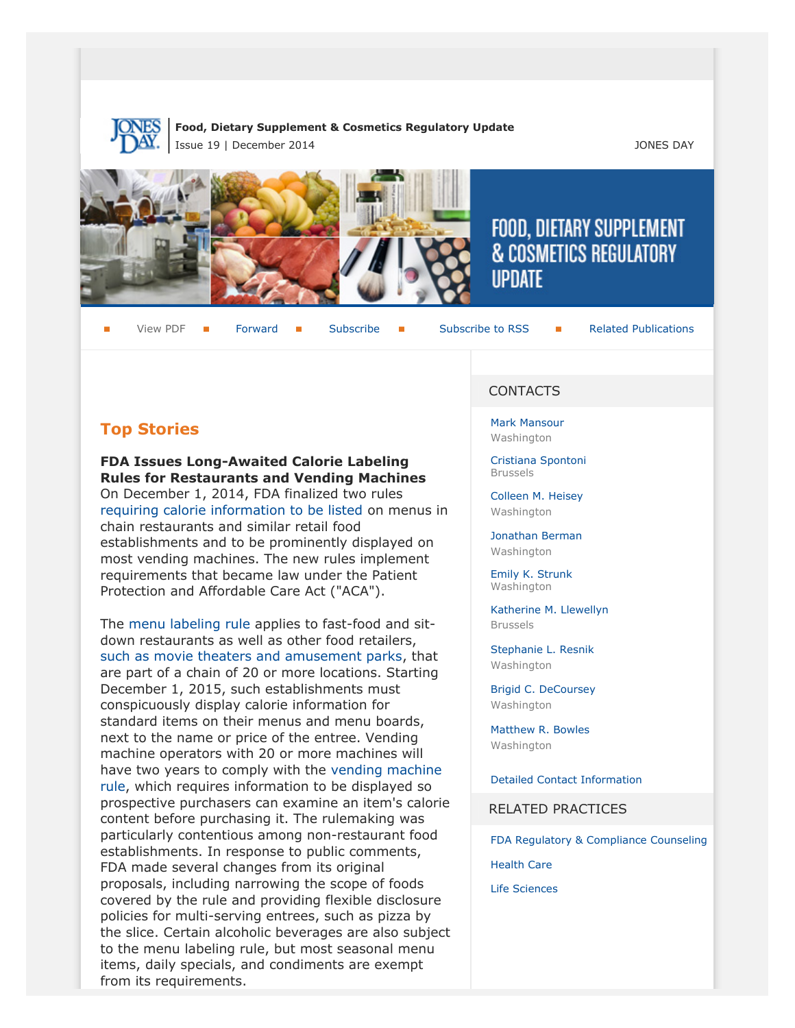

#### **Food, Dietary Supplement & Cosmetics Regulatory Update** Issue 19 | December 2014 JONES DAY







# FOOD, DIETARY SUPPLEMENT **& COSMETICS REGULATORY UPDATE**

View PDF **[Forward](http://thewritestuff.jonesday.com/cff/68bd1bed7c8c9aff7f2b871020737ced3a888601/) Forward [Subscribe](http://www.jonesday.com/newsknowledge/publications.aspx) Gubscribe to RSS** [Related Publications](http://www.jonesday.com/experiencepractices/servicedetail.aspx?serviceid=593cb647-a5c4-49c3-9086-fedc34b24e1d§ion=Publications)

# **Top Stories**

# **FDA Issues Long-Awaited Calorie Labeling Rules for Restaurants and Vending Machines**

On December 1, 2014, FDA finalized two rules [requiring calorie information to be listed](http://www.fda.gov/NewsEvents/Newsroom/PressAnnouncements/ucm423952.htm) on menus in chain restaurants and similar retail food establishments and to be prominently displayed on most vending machines. The new rules implement requirements that became law under the Patient Protection and Affordable Care Act ("ACA").

The [menu labeling rule](http://www.fda.gov/Food/IngredientsPackagingLabeling/LabelingNutrition/ucm248732.htm#menu) applies to fast-food and sitdown restaurants as well as other food retailers, [such as movie theaters and amusement parks](http://www.nytimes.com/2014/11/25/us/fda-to-announce-sweeping-calorie-rules-for-restaurants.html?_r=0), that are part of a chain of 20 or more locations. Starting December 1, 2015, such establishments must conspicuously display calorie information for standard items on their menus and menu boards, next to the name or price of the entree. Vending machine operators with 20 or more machines will have two years to comply with the [vending machine](http://www.fda.gov/Food/IngredientsPackagingLabeling/LabelingNutrition/ucm248732.htm#vending) [rule,](http://www.fda.gov/Food/IngredientsPackagingLabeling/LabelingNutrition/ucm248732.htm#vending) which requires information to be displayed so prospective purchasers can examine an item's calorie content before purchasing it. The rulemaking was particularly contentious among non-restaurant food establishments. In response to public comments, FDA made several changes from its original proposals, including narrowing the scope of foods covered by the rule and providing flexible disclosure policies for multi-serving entrees, such as pizza by the slice. Certain alcoholic beverages are also subject to the menu labeling rule, but most seasonal menu items, daily specials, and condiments are exempt from its requirements.

# CONTACTS

[Mark Mansour](http://www.jonesday.com/mmansour) Washington

[Cristiana Spontoni](http://www.jonesday.com/cspontoni) Brussels

[Colleen M. Heisey](http://www.jonesday.com/cmheisey) Washington

[Jonathan Berman](http://www.jonesday.com/jberman) Washington

[Emily K. Strunk](http://www.jonesday.com/estrunk) Washington

[Katherine M. Llewellyn](http://www.jonesday.com/kllewellyn) Brussels

[Stephanie L. Resnik](http://www.jonesday.com/sresnik) Washington

[Brigid C. DeCoursey](http://www.jonesday.com/bdecoursey) Washington

[Matthew R. Bowles](http://www.jonesday.com/mbowles) Washington

[Detailed Contact Information](#page-8-0)

RELATED PRACTICES

[FDA Regulatory & Compliance Counseling](http://www.jonesday.com/fdaregulatoryandcompliancecounseling/)

[Health Care](http://www.jonesday.com/Health-Care-Practices)

[Life Sciences](http://www.jonesday.com/lifesciences/)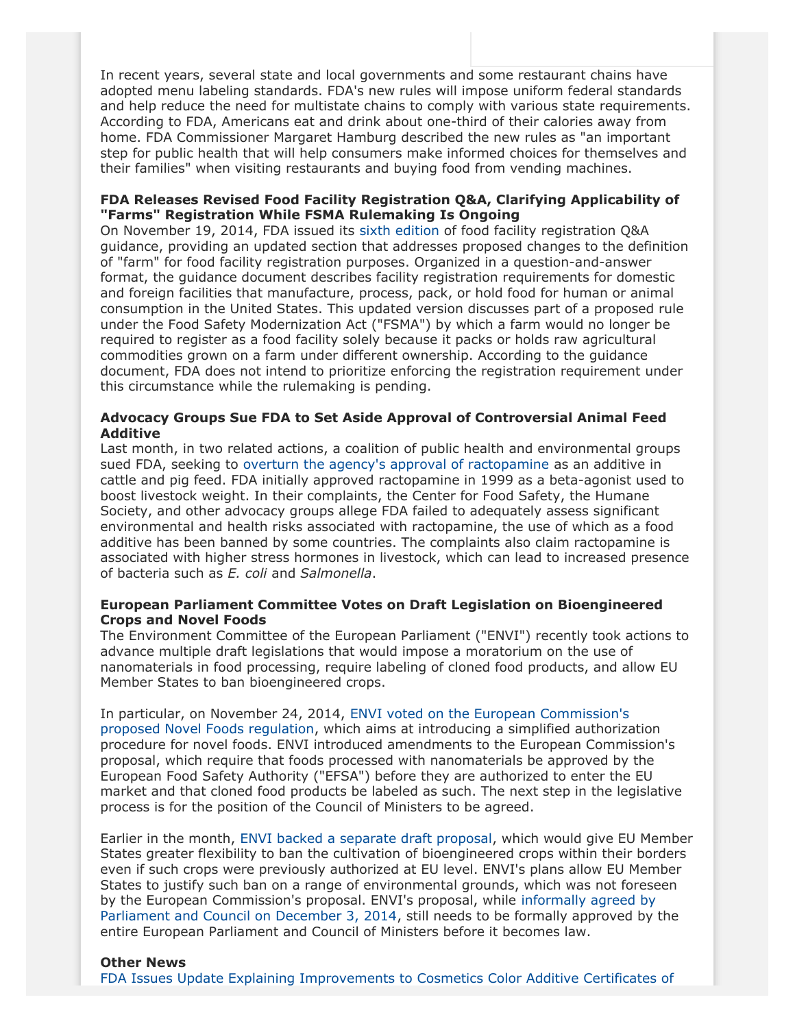In recent years, several state and local governments and some restaurant chains have adopted menu labeling standards. FDA's new rules will impose uniform federal standards and help reduce the need for multistate chains to comply with various state requirements. According to FDA, Americans eat and drink about one-third of their calories away from home. FDA Commissioner Margaret Hamburg described the new rules as "an important step for public health that will help consumers make informed choices for themselves and their families" when visiting restaurants and buying food from vending machines.

# **FDA Releases Revised Food Facility Registration Q&A, Clarifying Applicability of "Farms" Registration While FSMA Rulemaking Is Ongoing**

On November 19, 2014, FDA issued its [sixth edition](http://www.fda.gov/downloads/Food/GuidanceRegulation/UCM332460.pdf) of food facility registration Q&A guidance, providing an updated section that addresses proposed changes to the definition of "farm" for food facility registration purposes. Organized in a question-and-answer format, the guidance document describes facility registration requirements for domestic and foreign facilities that manufacture, process, pack, or hold food for human or animal consumption in the United States. This updated version discusses part of a proposed rule under the Food Safety Modernization Act ("FSMA") by which a farm would no longer be required to register as a food facility solely because it packs or holds raw agricultural commodities grown on a farm under different ownership. According to the guidance document, FDA does not intend to prioritize enforcing the registration requirement under this circumstance while the rulemaking is pending.

#### **Advocacy Groups Sue FDA to Set Aside Approval of Controversial Animal Feed Additive**

Last month, in two related actions, a coalition of public health and environmental groups sued FDA, seeking to [overturn the agency's approval of ractopamine](http://www.agweek.com/event/article/id/24454/) as an additive in cattle and pig feed. FDA initially approved ractopamine in 1999 as a beta-agonist used to boost livestock weight. In their complaints, the Center for Food Safety, the Humane Society, and other advocacy groups allege FDA failed to adequately assess significant environmental and health risks associated with ractopamine, the use of which as a food additive has been banned by some countries. The complaints also claim ractopamine is associated with higher stress hormones in livestock, which can lead to increased presence of bacteria such as *E. coli* and *Salmonella*.

#### **European Parliament Committee Votes on Draft Legislation on Bioengineered Crops and Novel Foods**

The Environment Committee of the European Parliament ("ENVI") recently took actions to advance multiple draft legislations that would impose a moratorium on the use of nanomaterials in food processing, require labeling of cloned food products, and allow EU Member States to ban bioengineered crops.

In particular, on November 24, 2014, [ENVI voted on the European Commission's](http://www.europarl.europa.eu/news/en/news-room/content/20141125IPR80424/html/Novel-foods-MEPs-call-for-moratorium-on-nano-foods-and-labelling-of-cloned-meat) [proposed Novel Foods regulation](http://www.europarl.europa.eu/news/en/news-room/content/20141125IPR80424/html/Novel-foods-MEPs-call-for-moratorium-on-nano-foods-and-labelling-of-cloned-meat), which aims at introducing a simplified authorization procedure for novel foods. ENVI introduced amendments to the European Commission's proposal, which require that foods processed with nanomaterials be approved by the European Food Safety Authority ("EFSA") before they are authorized to enter the EU market and that cloned food products be labeled as such. The next step in the legislative process is for the position of the Council of Ministers to be agreed.

Earlier in the month, [ENVI backed a separate draft proposal](http://www.europarl.europa.eu/news/en/news-room/content/20141110IPR78106/html/Environment-Committee-backs-flexibility-for-EU-countries-to-ban-GMO-crops), which would give EU Member States greater flexibility to ban the cultivation of bioengineered crops within their borders even if such crops were previously authorized at EU level. ENVI's plans allow EU Member States to justify such ban on a range of environmental grounds, which was not foreseen by the European Commission's proposal. ENVI's proposal, while [informally agreed by](http://www.europarl.europa.eu/news/en/news-room/content/20141204IPR82835/html/Deal-reached-on-new-rules-allowing-flexibility-for-EU-countries-to-ban-GMO-crops) [Parliament and Council on December 3, 2014,](http://www.europarl.europa.eu/news/en/news-room/content/20141204IPR82835/html/Deal-reached-on-new-rules-allowing-flexibility-for-EU-countries-to-ban-GMO-crops) still needs to be formally approved by the entire European Parliament and Council of Ministers before it becomes law.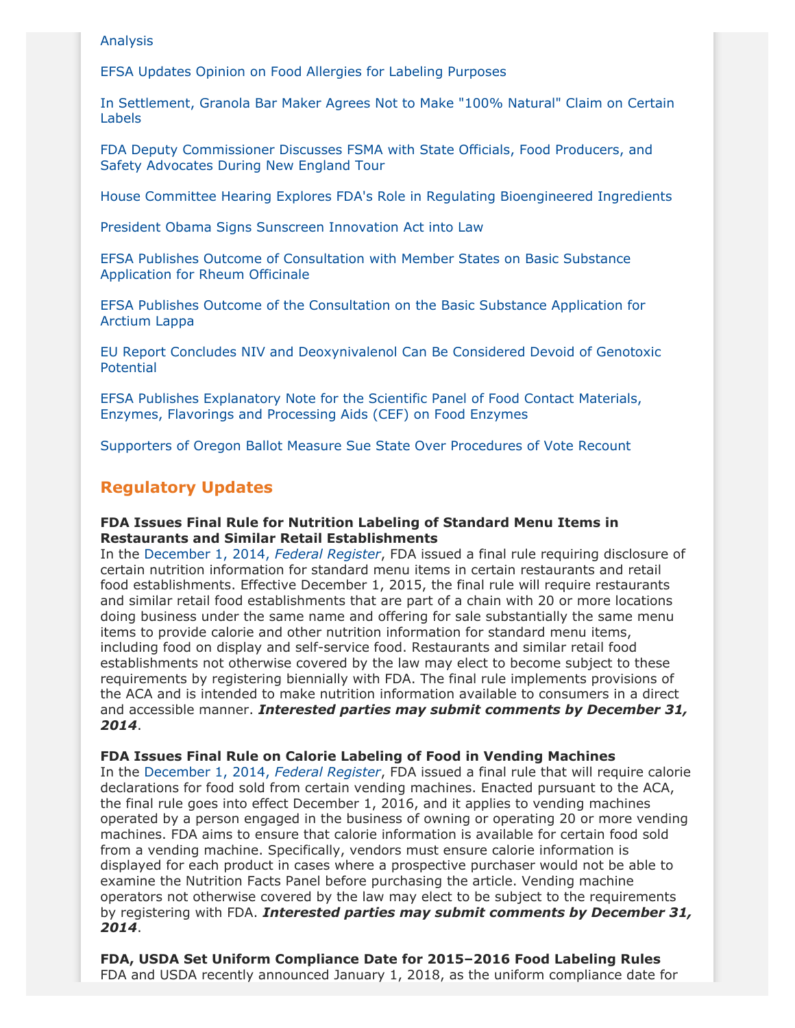#### [Analysis](http://www.fda.gov/ForIndustry/ColorAdditives/ColorCertification/ucm423846.htm?source=govdelivery&utm_medium=email&utm_source=govdelivery)

[EFSA Updates Opinion on Food Allergies for Labeling Purposes](http://www.foodsafetymagazine.com/news/european-food-allergy-advice-updated-by-efsa/)

[In Settlement, Granola Bar Maker Agrees Not to Make "100% Natural" Claim on Certain](http://www.wsj.com/articles/general-mills-in-settlement-over-100-natural-claim-1416356372) [Labels](http://www.wsj.com/articles/general-mills-in-settlement-over-100-natural-claim-1416356372)

[FDA Deputy Commissioner Discusses FSMA with State Officials, Food Producers, and](http://blogs.fda.gov/fdavoice/index.php/2014/12/from-wariness-to-welcome-engaging-new-england-on-food-safety/) [Safety Advocates During New England Tour](http://blogs.fda.gov/fdavoice/index.php/2014/12/from-wariness-to-welcome-engaging-new-england-on-food-safety/)

[House Committee Hearing Explores FDA's Role in Regulating Bioengineered Ingredients](http://www.ibtimes.com/gmo-labeling-debate-headed-congressional-committee-1734922)

[President Obama Signs Sunscreen Innovation Act into Law](http://time.com/3611787/better-sunscreen-law/#3611787/better-sunscreen-law/)

[EFSA Publishes Outcome of Consultation with Member States on Basic Substance](http://www.efsa.europa.eu/en/supporting/pub/617e.htm) [Application for Rheum Officinale](http://www.efsa.europa.eu/en/supporting/pub/617e.htm)

[EFSA Publishes Outcome of the Consultation on the Basic Substance Application for](http://www.efsa.europa.eu/en/supporting/pub/699e.htm) [Arctium Lappa](http://www.efsa.europa.eu/en/supporting/pub/699e.htm)

[EU Report Concludes NIV and Deoxynivalenol Can Be Considered Devoid of Genotoxic](http://www.efsa.europa.eu/en/supporting/pub/697e.htm) [Potential](http://www.efsa.europa.eu/en/supporting/pub/697e.htm)

[EFSA Publishes Explanatory Note for the Scientific Panel of Food Contact Materials,](http://www.efsa.europa.eu/en/supporting/pub/689e.htm) [Enzymes, Flavorings and Processing Aids \(CEF\) on Food Enzymes](http://www.efsa.europa.eu/en/supporting/pub/689e.htm)

[Supporters of Oregon Ballot Measure Sue State Over Procedures of Vote Recount](http://www.statesmanjournal.com/story/tech/science/environment/2014/12/08/lawsuit-filed-oregon-gmo-labeling-recount/20103591/)

# **Regulatory Updates**

#### **FDA Issues Final Rule for Nutrition Labeling of Standard Menu Items in Restaurants and Similar Retail Establishments**

In the [December 1, 2014,](http://www.gpo.gov/fdsys/pkg/FR-2014-12-01/pdf/2014-27833.pdf) *Federal Register*, FDA issued a final rule requiring disclosure of certain nutrition information for standard menu items in certain restaurants and retail food establishments. Effective December 1, 2015, the final rule will require restaurants and similar retail food establishments that are part of a chain with 20 or more locations doing business under the same name and offering for sale substantially the same menu items to provide calorie and other nutrition information for standard menu items, including food on display and self-service food. Restaurants and similar retail food establishments not otherwise covered by the law may elect to become subject to these requirements by registering biennially with FDA. The final rule implements provisions of the ACA and is intended to make nutrition information available to consumers in a direct and accessible manner. *Interested parties may submit comments by December 31, 2014*.

**FDA Issues Final Rule on Calorie Labeling of Food in Vending Machines**

In the [December 1, 2014,](http://www.gpo.gov/fdsys/pkg/FR-2014-12-01/pdf/2014-27834.pdf) *Federal Register*, FDA issued a final rule that will require calorie declarations for food sold from certain vending machines. Enacted pursuant to the ACA, the final rule goes into effect December 1, 2016, and it applies to vending machines operated by a person engaged in the business of owning or operating 20 or more vending machines. FDA aims to ensure that calorie information is available for certain food sold from a vending machine. Specifically, vendors must ensure calorie information is displayed for each product in cases where a prospective purchaser would not be able to examine the Nutrition Facts Panel before purchasing the article. Vending machine operators not otherwise covered by the law may elect to be subject to the requirements by registering with FDA. *Interested parties may submit comments by December 31, 2014*.

**FDA, USDA Set Uniform Compliance Date for 2015–2016 Food Labeling Rules** FDA and USDA recently announced January 1, 2018, as the uniform compliance date for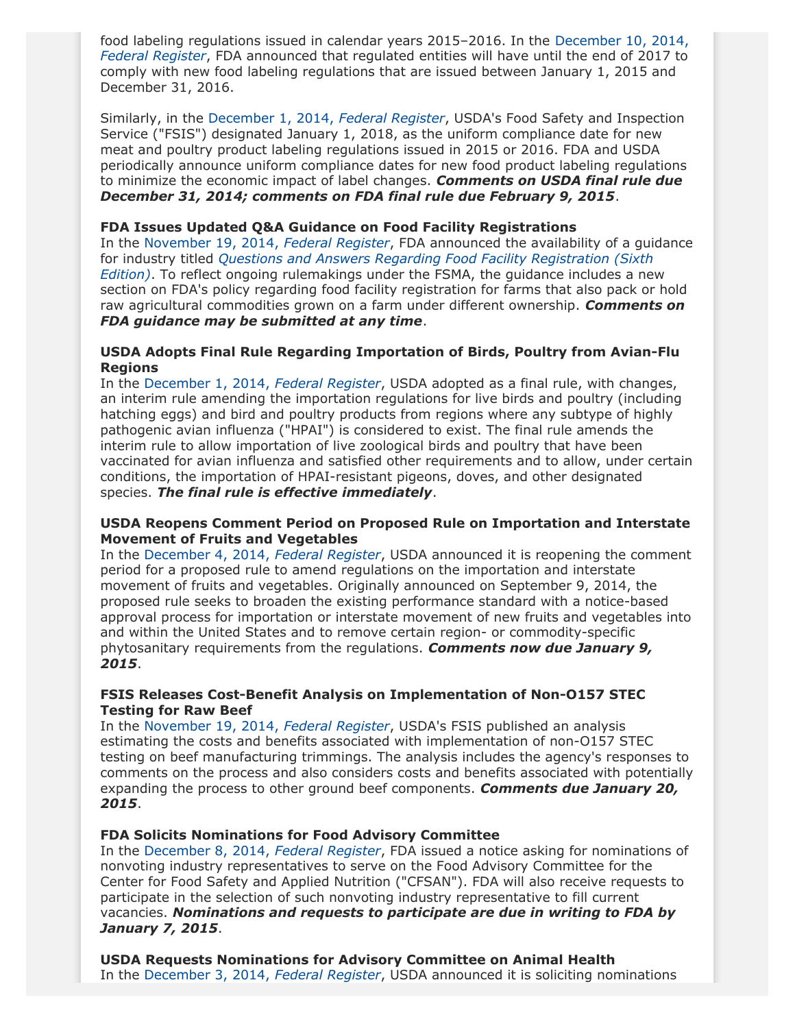food labeling regulations issued in calendar years 2015–2016. In the [December 10, 2014,](http://www.gpo.gov/fdsys/pkg/FR-2014-12-10/pdf/2014-28829.pdf) *[Federal Register](http://www.gpo.gov/fdsys/pkg/FR-2014-12-10/pdf/2014-28829.pdf)*, FDA announced that regulated entities will have until the end of 2017 to comply with new food labeling regulations that are issued between January 1, 2015 and December 31, 2016.

Similarly, in the [December 1, 2014,](http://www.gpo.gov/fdsys/pkg/FR-2014-12-01/pdf/2014-28269.pdf) *Federal Register*, USDA's Food Safety and Inspection Service ("FSIS") designated January 1, 2018, as the uniform compliance date for new meat and poultry product labeling regulations issued in 2015 or 2016. FDA and USDA periodically announce uniform compliance dates for new food product labeling regulations to minimize the economic impact of label changes. *Comments on USDA final rule due December 31, 2014; comments on FDA final rule due February 9, 2015*.

## **FDA Issues Updated Q&A Guidance on Food Facility Registrations**

In the [November 19, 2014,](http://www.gpo.gov/fdsys/pkg/FR-2014-11-19/pdf/2014-27290.pdf) *Federal Register*, FDA announced the availability of a guidance for industry titled *[Questions and Answers Regarding Food Facility Registration \(Sixth](http://www.fda.gov/downloads/Food/GuidanceRegulation/UCM332460.pdf) [Edition\)](http://www.fda.gov/downloads/Food/GuidanceRegulation/UCM332460.pdf)*. To reflect ongoing rulemakings under the FSMA, the guidance includes a new section on FDA's policy regarding food facility registration for farms that also pack or hold raw agricultural commodities grown on a farm under different ownership. *Comments on FDA guidance may be submitted at any time*.

#### **USDA Adopts Final Rule Regarding Importation of Birds, Poultry from Avian-Flu Regions**

In the [December 1, 2014,](http://www.gpo.gov/fdsys/pkg/FR-2014-12-01/pdf/2014-28244.pdf) *Federal Register*, USDA adopted as a final rule, with changes, an interim rule amending the importation regulations for live birds and poultry (including hatching eggs) and bird and poultry products from regions where any subtype of highly pathogenic avian influenza ("HPAI") is considered to exist. The final rule amends the interim rule to allow importation of live zoological birds and poultry that have been vaccinated for avian influenza and satisfied other requirements and to allow, under certain conditions, the importation of HPAI-resistant pigeons, doves, and other designated species. *The final rule is effective immediately*.

#### **USDA Reopens Comment Period on Proposed Rule on Importation and Interstate Movement of Fruits and Vegetables**

In the [December 4, 2014,](http://www.gpo.gov/fdsys/pkg/FR-2014-12-04/pdf/2014-28488.pdf) *Federal Register*, USDA announced it is reopening the comment period for a proposed rule to amend regulations on the importation and interstate movement of fruits and vegetables. Originally announced on September 9, 2014, the proposed rule seeks to broaden the existing performance standard with a notice-based approval process for importation or interstate movement of new fruits and vegetables into and within the United States and to remove certain region- or commodity-specific phytosanitary requirements from the regulations. *Comments now due January 9, 2015*.

#### **FSIS Releases Cost-Benefit Analysis on Implementation of Non-O157 STEC Testing for Raw Beef**

In the [November 19, 2014,](http://www.gpo.gov/fdsys/pkg/FR-2014-11-19/pdf/2014-27418.pdf) *Federal Register*, USDA's FSIS published an analysis estimating the costs and benefits associated with implementation of non-O157 STEC testing on beef manufacturing trimmings. The analysis includes the agency's responses to comments on the process and also considers costs and benefits associated with potentially expanding the process to other ground beef components. *Comments due January 20, 2015*.

#### **FDA Solicits Nominations for Food Advisory Committee**

In the [December 8, 2014,](http://www.gpo.gov/fdsys/pkg/FR-2014-12-08/pdf/2014-28652.pdf) *Federal Register*, FDA issued a notice asking for nominations of nonvoting industry representatives to serve on the Food Advisory Committee for the Center for Food Safety and Applied Nutrition ("CFSAN"). FDA will also receive requests to participate in the selection of such nonvoting industry representative to fill current vacancies. *Nominations and requests to participate are due in writing to FDA by January 7, 2015*.

**USDA Requests Nominations for Advisory Committee on Animal Health** In the [December 3, 2014,](http://www.gpo.gov/fdsys/pkg/FR-2014-12-03/pdf/2014-28440.pdf) *Federal Register*, USDA announced it is soliciting nominations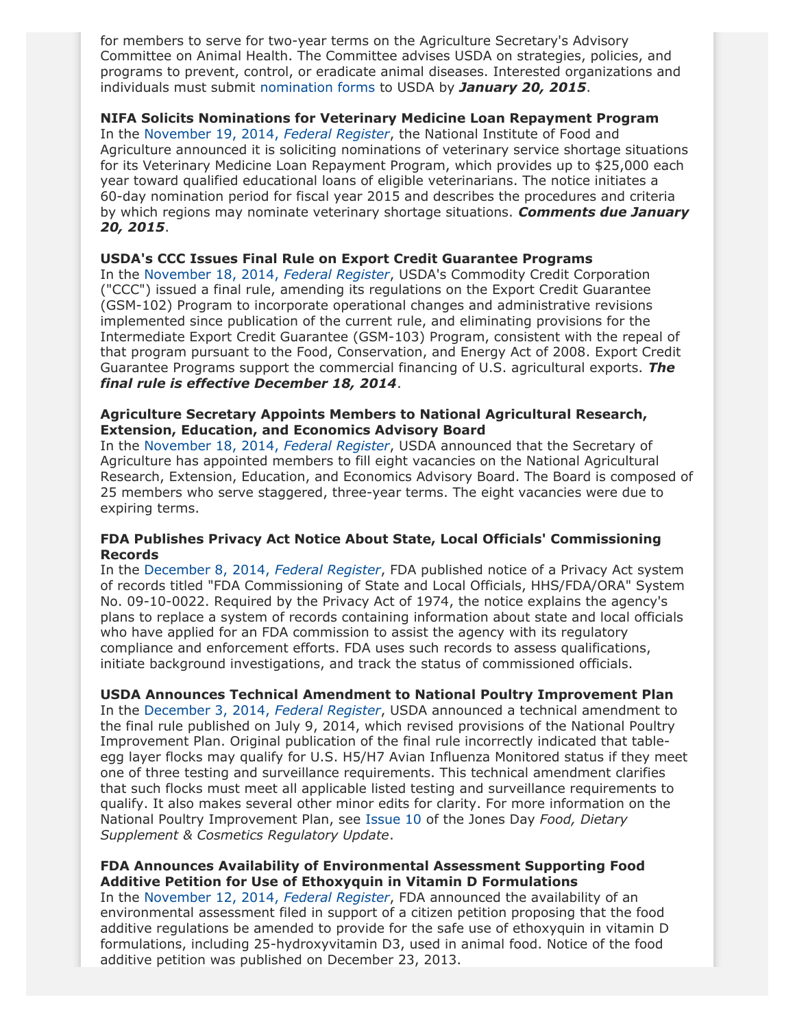for members to serve for two-year terms on the Agriculture Secretary's Advisory Committee on Animal Health. The Committee advises USDA on strategies, policies, and programs to prevent, control, or eradicate animal diseases. Interested organizations and individuals must submit [nomination forms](http://www.ocio.usda.gov/sites/default/files/docs/2012/AD-755_Master_2012_508_Ver.pdf) to USDA by *January 20, 2015*.

## **NIFA Solicits Nominations for Veterinary Medicine Loan Repayment Program**

In the [November 19, 2014,](http://www.gpo.gov/fdsys/pkg/FR-2014-11-19/pdf/2014-27423.pdf) *Federal Register*, the National Institute of Food and Agriculture announced it is soliciting nominations of veterinary service shortage situations for its Veterinary Medicine Loan Repayment Program, which provides up to \$25,000 each year toward qualified educational loans of eligible veterinarians. The notice initiates a 60-day nomination period for fiscal year 2015 and describes the procedures and criteria by which regions may nominate veterinary shortage situations. *Comments due January 20, 2015*.

#### **USDA's CCC Issues Final Rule on Export Credit Guarantee Programs**

In the [November 18, 2014,](http://www.gpo.gov/fdsys/pkg/FR-2014-11-18/pdf/2014-27129.pdf) *Federal Register*, USDA's Commodity Credit Corporation ("CCC") issued a final rule, amending its regulations on the Export Credit Guarantee (GSM-102) Program to incorporate operational changes and administrative revisions implemented since publication of the current rule, and eliminating provisions for the Intermediate Export Credit Guarantee (GSM-103) Program, consistent with the repeal of that program pursuant to the Food, Conservation, and Energy Act of 2008. Export Credit Guarantee Programs support the commercial financing of U.S. agricultural exports. *The final rule is effective December 18, 2014*.

## **Agriculture Secretary Appoints Members to National Agricultural Research, Extension, Education, and Economics Advisory Board**

In the [November 18, 2014,](http://www.gpo.gov/fdsys/pkg/FR-2014-11-18/pdf/2014-27199.pdf) *Federal Register*, USDA announced that the Secretary of Agriculture has appointed members to fill eight vacancies on the National Agricultural Research, Extension, Education, and Economics Advisory Board. The Board is composed of 25 members who serve staggered, three-year terms. The eight vacancies were due to expiring terms.

# **FDA Publishes Privacy Act Notice About State, Local Officials' Commissioning Records**

In the [December 8, 2014,](http://www.gpo.gov/fdsys/pkg/FR-2014-12-08/pdf/2014-28634.pdf) *Federal Register*, FDA published notice of a Privacy Act system of records titled "FDA Commissioning of State and Local Officials, HHS/FDA/ORA" System No. 09-10-0022. Required by the Privacy Act of 1974, the notice explains the agency's plans to replace a system of records containing information about state and local officials who have applied for an FDA commission to assist the agency with its regulatory compliance and enforcement efforts. FDA uses such records to assess qualifications, initiate background investigations, and track the status of commissioned officials.

# **USDA Announces Technical Amendment to National Poultry Improvement Plan**

In the [December 3, 2014,](http://www.gpo.gov/fdsys/pkg/FR-2014-12-03/pdf/2014-28439.pdf) *Federal Register*, USDA announced a technical amendment to the final rule published on July 9, 2014, which revised provisions of the National Poultry Improvement Plan. Original publication of the final rule incorrectly indicated that tableegg layer flocks may qualify for U.S. H5/H7 Avian Influenza Monitored status if they meet one of three testing and surveillance requirements. This technical amendment clarifies that such flocks must meet all applicable listed testing and surveillance requirements to qualify. It also makes several other minor edits for clarity. For more information on the National Poultry Improvement Plan, see [Issue 10](http://www.jonesday.com/files/Publication/9fa1c848-d39d-4126-aacc-971648cc6f37/Presentation/PublicationAttachment/c5f9279a-b979-46fd-a51a-4f1de7d04730/Food%2c%20Dietary%20Supplement%20%26%20Cosmetics%20Update%20Issue%2010.pdf) of the Jones Day *Food, Dietary Supplement & Cosmetics Regulatory Update*.

# **FDA Announces Availability of Environmental Assessment Supporting Food Additive Petition for Use of Ethoxyquin in Vitamin D Formulations**

In the [November 12, 2014,](http://www.gpo.gov/fdsys/pkg/FR-2014-11-12/pdf/2014-26709.pdf) *Federal Register*, FDA announced the availability of an environmental assessment filed in support of a citizen petition proposing that the food additive regulations be amended to provide for the safe use of ethoxyquin in vitamin D formulations, including 25-hydroxyvitamin D3, used in animal food. Notice of the food additive petition was published on December 23, 2013.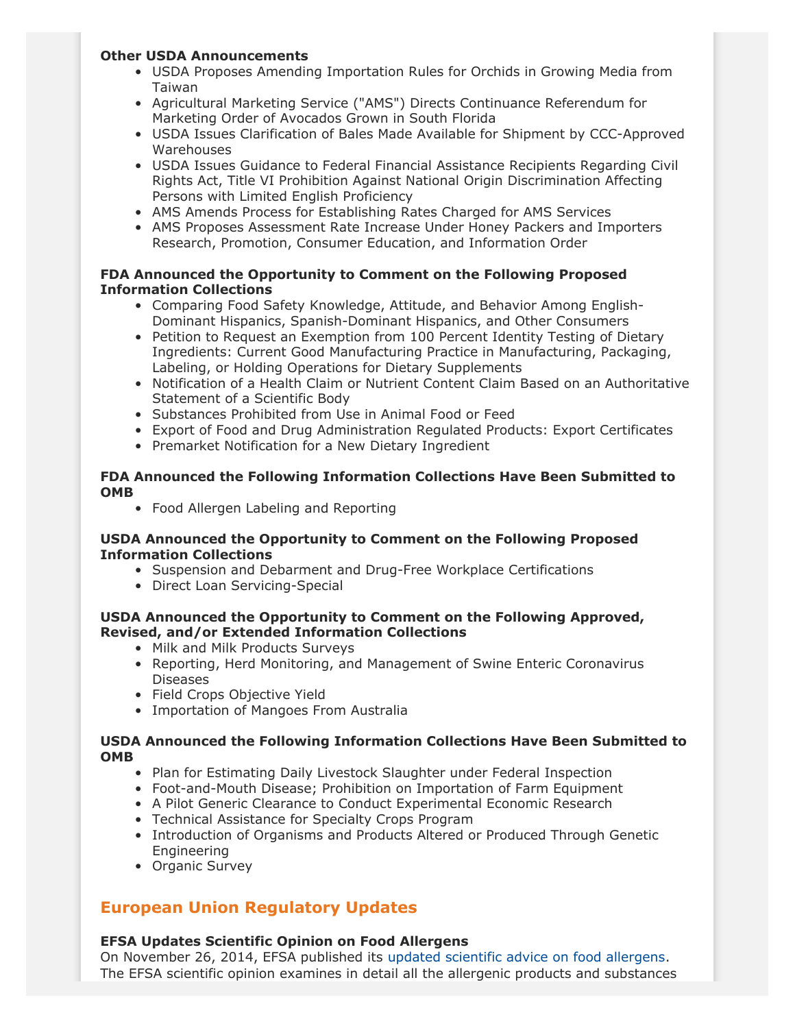# **Other USDA Announcements**

- USDA Proposes Amending Importation Rules for Orchids in Growing Media from Taiwan
- Agricultural Marketing Service ("AMS") Directs Continuance Referendum for Marketing Order of Avocados Grown in South Florida
- USDA Issues Clarification of Bales Made Available for Shipment by CCC-Approved Warehouses
- USDA Issues Guidance to Federal Financial Assistance Recipients Regarding Civil Rights Act, Title VI Prohibition Against National Origin Discrimination Affecting Persons with Limited English Proficiency
- AMS Amends Process for Establishing Rates Charged for AMS Services
- AMS Proposes Assessment Rate Increase Under Honey Packers and Importers Research, Promotion, Consumer Education, and Information Order

# **FDA Announced the Opportunity to Comment on the Following Proposed Information Collections**

- Comparing Food Safety Knowledge, Attitude, and Behavior Among English-Dominant Hispanics, Spanish-Dominant Hispanics, and Other Consumers
- Petition to Request an Exemption from 100 Percent Identity Testing of Dietary Ingredients: Current Good Manufacturing Practice in Manufacturing, Packaging, Labeling, or Holding Operations for Dietary Supplements
- Notification of a Health Claim or Nutrient Content Claim Based on an Authoritative Statement of a Scientific Body
- Substances Prohibited from Use in Animal Food or Feed
- Export of Food and Drug Administration Regulated Products: Export Certificates
- Premarket Notification for a New Dietary Ingredient

# **FDA Announced the Following Information Collections Have Been Submitted to OMB**

• Food Allergen Labeling and Reporting

# **USDA Announced the Opportunity to Comment on the Following Proposed Information Collections**

- Suspension and Debarment and Drug-Free Workplace Certifications
- Direct Loan Servicing-Special

# **USDA Announced the Opportunity to Comment on the Following Approved, Revised, and/or Extended Information Collections**

- Milk and Milk Products Surveys
- Reporting, Herd Monitoring, and Management of Swine Enteric Coronavirus Diseases
- Field Crops Objective Yield
- Importation of Mangoes From Australia

# **USDA Announced the Following Information Collections Have Been Submitted to OMB**

- Plan for Estimating Daily Livestock Slaughter under Federal Inspection
- Foot-and-Mouth Disease; Prohibition on Importation of Farm Equipment
- A Pilot Generic Clearance to Conduct Experimental Economic Research
- Technical Assistance for Specialty Crops Program
- Introduction of Organisms and Products Altered or Produced Through Genetic Engineering
- Organic Survey

# **European Union Regulatory Updates**

# **EFSA Updates Scientific Opinion on Food Allergens**

On November 26, 2014, EFSA published its [updated scientific advice on food allergens.](http://www.efsa.europa.eu/en/press/news/141126.htm) The EFSA scientific opinion examines in detail all the allergenic products and substances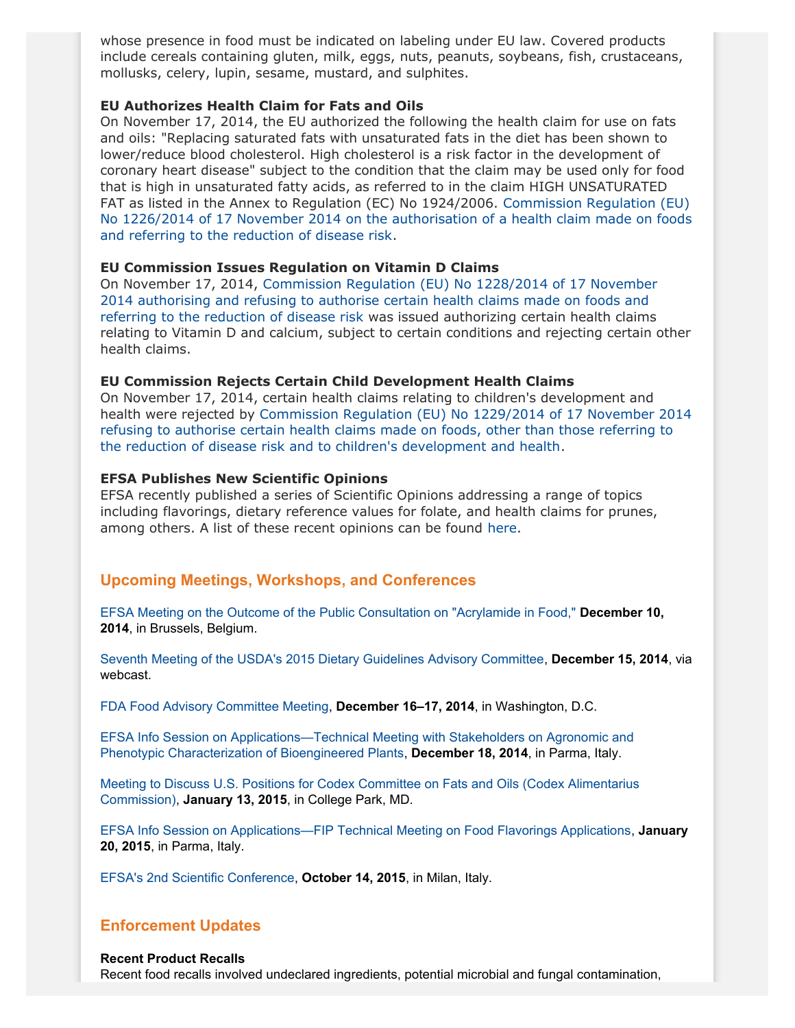whose presence in food must be indicated on labeling under EU law. Covered products include cereals containing gluten, milk, eggs, nuts, peanuts, soybeans, fish, crustaceans, mollusks, celery, lupin, sesame, mustard, and sulphites.

#### **EU Authorizes Health Claim for Fats and Oils**

On November 17, 2014, the EU authorized the following the health claim for use on fats and oils: "Replacing saturated fats with unsaturated fats in the diet has been shown to lower/reduce blood cholesterol. High cholesterol is a risk factor in the development of coronary heart disease" subject to the condition that the claim may be used only for food that is high in unsaturated fatty acids, as referred to in the claim HIGH UNSATURATED FAT as listed in the Annex to Regulation (EC) No 1924/2006. [Commission Regulation \(EU\)](http://eur-lex.europa.eu/legal-content/EN/TXT/?uri=CELEX:32014R1226) [No 1226/2014 of 17 November 2014 on the authorisation of a health claim made on foods](http://eur-lex.europa.eu/legal-content/EN/TXT/?uri=CELEX:32014R1226) [and referring to the reduction of disease risk](http://eur-lex.europa.eu/legal-content/EN/TXT/?uri=CELEX:32014R1226).

#### **EU Commission Issues Regulation on Vitamin D Claims**

On November 17, 2014, [Commission Regulation \(EU\) No 1228/2014 of 17 November](http://eur-lex.europa.eu/legal-content/EN/TXT/?uri=uriserv:OJ.L_.2014.331.01.0008.01.ENG) [2014 authorising and refusing to authorise certain health claims made on foods and](http://eur-lex.europa.eu/legal-content/EN/TXT/?uri=uriserv:OJ.L_.2014.331.01.0008.01.ENG) [referring to the reduction of disease risk](http://eur-lex.europa.eu/legal-content/EN/TXT/?uri=uriserv:OJ.L_.2014.331.01.0008.01.ENG) was issued authorizing certain health claims relating to Vitamin D and calcium, subject to certain conditions and rejecting certain other health claims.

#### **EU Commission Rejects Certain Child Development Health Claims**

On November 17, 2014, certain health claims relating to children's development and health were rejected by [Commission Regulation \(EU\) No 1229/2014 of 17 November 2014](http://eur-lex.europa.eu/legal-content/EN/TXT/?uri=uriserv:OJ.L_.2014.331.01.0014.01.ENG) [refusing to authorise certain health claims made on foods, other than those referring to](http://eur-lex.europa.eu/legal-content/EN/TXT/?uri=uriserv:OJ.L_.2014.331.01.0014.01.ENG) [the reduction of disease risk and to children's development and health.](http://eur-lex.europa.eu/legal-content/EN/TXT/?uri=uriserv:OJ.L_.2014.331.01.0014.01.ENG)

#### **EFSA Publishes New Scientific Opinions**

EFSA recently published a series of Scientific Opinions addressing a range of topics including flavorings, dietary reference values for folate, and health claims for prunes, among others. A list of these recent opinions can be found [here](http://thewritestuff.jonesday.com/cv/68bd1bed7c8c9aff7f2b871020737ced3a888601/p=7968098).

# **Upcoming Meetings, Workshops, and Conferences**

[EFSA Meeting on the Outcome of the Public Consultation on "Acrylamide in Food,"](http://www.efsa.europa.eu/en/events/event/141210.htm) **December 10, 2014**, in Brussels, Belgium.

[Seventh Meeting of the USDA's 2015 Dietary Guidelines Advisory Committee](http://www.gpo.gov/fdsys/pkg/FR-2014-11-26/pdf/2014-27992.pdf), **December 15, 2014**, via webcast.

[FDA Food Advisory Committee Meeting](http://www.gpo.gov/fdsys/pkg/FR-2014-11-13/pdf/2014-26823.pdf), **December 16–17, 2014**, in Washington, D.C.

[EFSA Info Session on Applications—Technical Meeting with Stakeholders on Agronomic and](http://www.efsa.europa.eu/en/events/event/141218.htm) [Phenotypic Characterization of Bioengineered Plants](http://www.efsa.europa.eu/en/events/event/141218.htm), **December 18, 2014**, in Parma, Italy.

[Meeting to Discuss U.S. Positions for Codex Committee on Fats and Oils \(Codex Alimentarius](http://www.gpo.gov/fdsys/pkg/FR-2014-11-19/pdf/2014-27413.pdf) [Commission\),](http://www.gpo.gov/fdsys/pkg/FR-2014-11-19/pdf/2014-27413.pdf) **January 13, 2015**, in College Park, MD.

[EFSA Info Session on Applications—FIP Technical Meeting on Food Flavorings Applications](http://www.efsa.europa.eu/en/events/event/150120.htm), **January 20, 2015**, in Parma, Italy.

[EFSA's 2nd Scientific Conference](http://www.efsa.europa.eu/en/events/event/151014.htm), **October 14, 2015**, in Milan, Italy.

# **Enforcement Updates**

#### **Recent Product Recalls**

Recent food recalls involved undeclared ingredients, potential microbial and fungal contamination,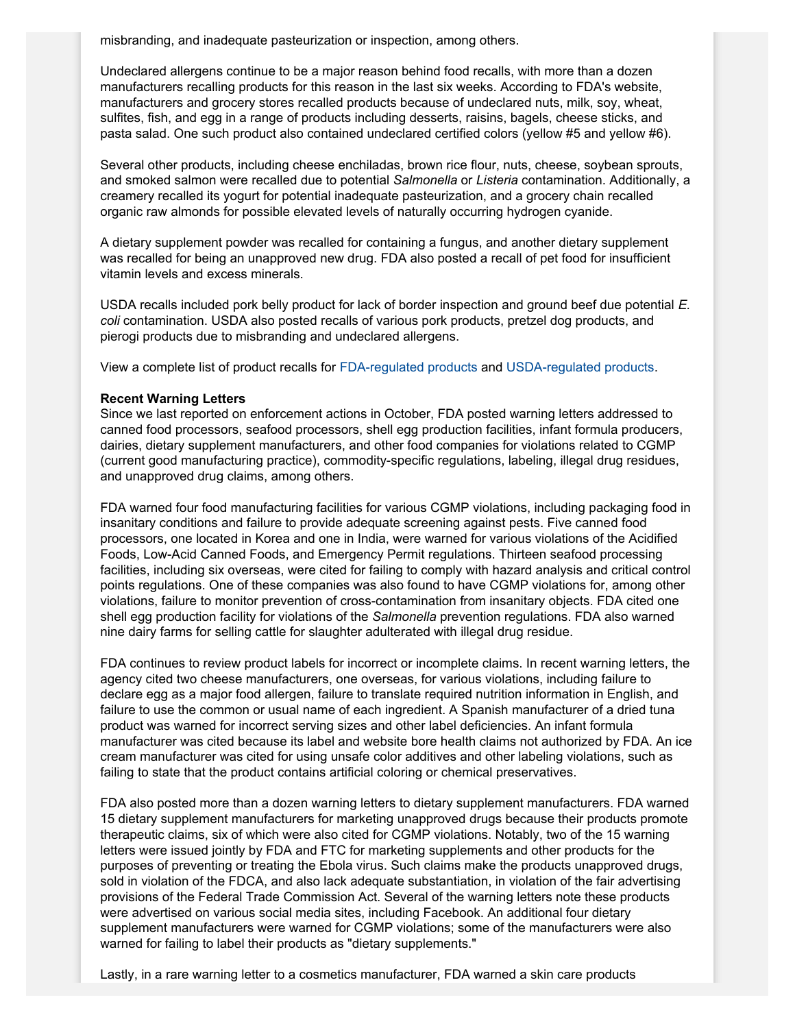misbranding, and inadequate pasteurization or inspection, among others.

Undeclared allergens continue to be a major reason behind food recalls, with more than a dozen manufacturers recalling products for this reason in the last six weeks. According to FDA's website, manufacturers and grocery stores recalled products because of undeclared nuts, milk, soy, wheat, sulfites, fish, and egg in a range of products including desserts, raisins, bagels, cheese sticks, and pasta salad. One such product also contained undeclared certified colors (yellow #5 and yellow #6).

Several other products, including cheese enchiladas, brown rice flour, nuts, cheese, soybean sprouts, and smoked salmon were recalled due to potential *Salmonella* or *Listeria* contamination. Additionally, a creamery recalled its yogurt for potential inadequate pasteurization, and a grocery chain recalled organic raw almonds for possible elevated levels of naturally occurring hydrogen cyanide.

A dietary supplement powder was recalled for containing a fungus, and another dietary supplement was recalled for being an unapproved new drug. FDA also posted a recall of pet food for insufficient vitamin levels and excess minerals.

USDA recalls included pork belly product for lack of border inspection and ground beef due potential *E. coli* contamination. USDA also posted recalls of various pork products, pretzel dog products, and pierogi products due to misbranding and undeclared allergens.

View a complete list of product recalls for [FDA-regulated products](http://www.fda.gov/safety/recalls/) and [USDA-regulated products](http://www.fsis.usda.gov/wps/portal/fsis/topics/recalls-and-public-health-alerts/current-recalls-and-alerts).

#### **Recent Warning Letters**

Since we last reported on enforcement actions in October, FDA posted warning letters addressed to canned food processors, seafood processors, shell egg production facilities, infant formula producers, dairies, dietary supplement manufacturers, and other food companies for violations related to CGMP (current good manufacturing practice), commodity-specific regulations, labeling, illegal drug residues, and unapproved drug claims, among others.

FDA warned four food manufacturing facilities for various CGMP violations, including packaging food in insanitary conditions and failure to provide adequate screening against pests. Five canned food processors, one located in Korea and one in India, were warned for various violations of the Acidified Foods, Low-Acid Canned Foods, and Emergency Permit regulations. Thirteen seafood processing facilities, including six overseas, were cited for failing to comply with hazard analysis and critical control points regulations. One of these companies was also found to have CGMP violations for, among other violations, failure to monitor prevention of cross-contamination from insanitary objects. FDA cited one shell egg production facility for violations of the *Salmonella* prevention regulations. FDA also warned nine dairy farms for selling cattle for slaughter adulterated with illegal drug residue.

FDA continues to review product labels for incorrect or incomplete claims. In recent warning letters, the agency cited two cheese manufacturers, one overseas, for various violations, including failure to declare egg as a major food allergen, failure to translate required nutrition information in English, and failure to use the common or usual name of each ingredient. A Spanish manufacturer of a dried tuna product was warned for incorrect serving sizes and other label deficiencies. An infant formula manufacturer was cited because its label and website bore health claims not authorized by FDA. An ice cream manufacturer was cited for using unsafe color additives and other labeling violations, such as failing to state that the product contains artificial coloring or chemical preservatives.

FDA also posted more than a dozen warning letters to dietary supplement manufacturers. FDA warned 15 dietary supplement manufacturers for marketing unapproved drugs because their products promote therapeutic claims, six of which were also cited for CGMP violations. Notably, two of the 15 warning letters were issued jointly by FDA and FTC for marketing supplements and other products for the purposes of preventing or treating the Ebola virus. Such claims make the products unapproved drugs, sold in violation of the FDCA, and also lack adequate substantiation, in violation of the fair advertising provisions of the Federal Trade Commission Act. Several of the warning letters note these products were advertised on various social media sites, including Facebook. An additional four dietary supplement manufacturers were warned for CGMP violations; some of the manufacturers were also warned for failing to label their products as "dietary supplements."

Lastly, in a rare warning letter to a cosmetics manufacturer, FDA warned a skin care products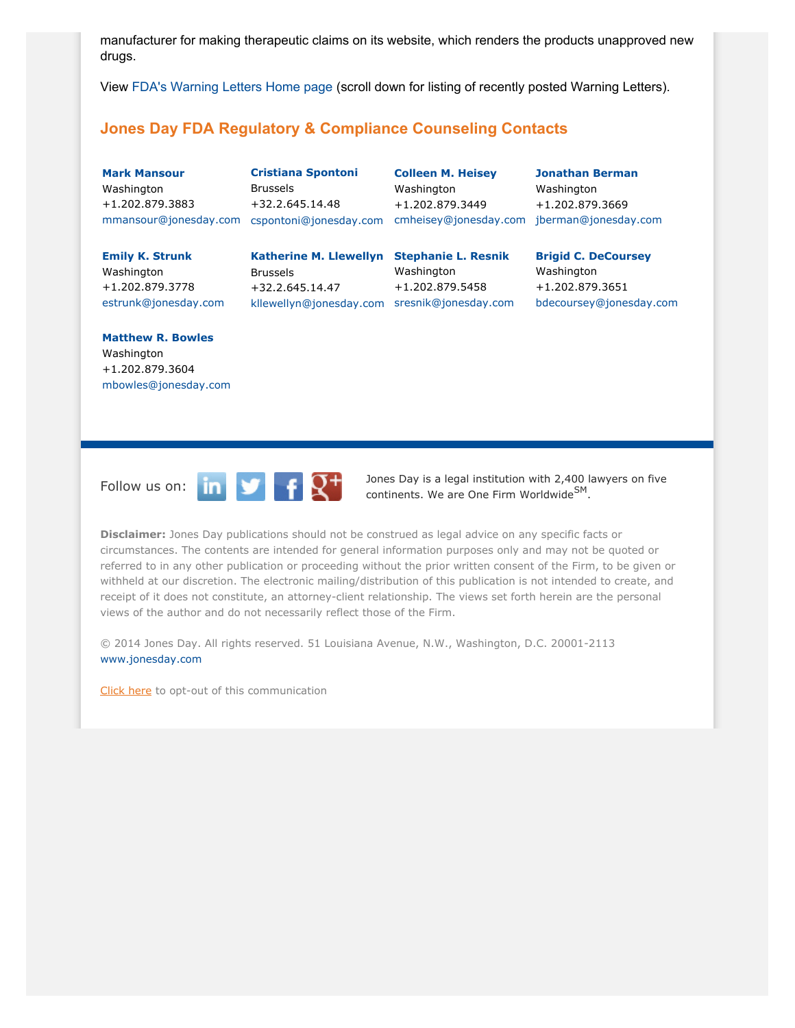manufacturer for making therapeutic claims on its website, which renders the products unapproved new drugs.

View [FDA's Warning Letters Home page](http://www.fda.gov/iceci/enforcementactions/WarningLetters/default.htm) (scroll down for listing of recently posted Warning Letters).

# <span id="page-8-0"></span>**Jones Day FDA Regulatory & Compliance Counseling Contacts**

**[Mark Mansour](http://www.jonesday.com/mmansour)** Washington +1.202.879.3883 [mmansour@jonesday.com](mailto:mmansour@jonesday.com) [cspontoni@jonesday.com](mailto:cspontoni@jonesday.com) [cmheisey@jonesday.com](mailto:cmheisey@jonesday.com) [jberman@jonesday.com](mailto:jberman@jonesday.com)

**[Cristiana Spontoni](http://www.jonesday.com/cspontoni)** Brussels +32.2.645.14.48

**[Colleen M. Heisey](http://www.jonesday.com/cmheisey)** Washington +1.202.879.3449

**[Jonathan Berman](http://www.jonesday.com/jberman)** Washington +1.202.879.3669

**[Emily K. Strunk](http://www.jonesday.com/estrunk)** Washington +1.202.879.3778 [estrunk@jonesday.com](mailto:estrunk@jonesday.com)

Brussels +32.2.645.14.47 [kllewellyn@jonesday.com](mailto:kllewellyn@jonesday.com) [sresnik@jonesday.com](mailto:sresnick@jonesday.com)

**[Katherine M. Llewellyn](http://www.jonesday.com/kllewellyn) [Stephanie L. Resnik](http://www.jonesday.com/sresnik)** Washington +1.202.879.5458

**[Brigid C. DeCoursey](http://www.jonesday.com/bdecoursey)** Washington +1.202.879.3651 [bdecoursey@jonesday.com](mailto:bdecoursey@jonesday.com)

#### **[Matthew R. Bowles](http://www.jonesday.com/mbowles)** Washington +1.202.879.3604

[mbowles@jonesday.com](mailto:mbowles@jonesday.com)



Follow us on:  $\begin{array}{|c|c|c|c|}\n\hline\n\text{in} & \text{if } \mathbf{Q}^+ \\
\hline\n\text{in} & \text{cohibents. We are One Firm Worldwide}^{\text{Sim}} \\
\hline\n\end{array}$ continents. We are One Firm Worldwide<sup>SM</sup>.

**Disclaimer:** Jones Day publications should not be construed as legal advice on any specific facts or circumstances. The contents are intended for general information purposes only and may not be quoted or referred to in any other publication or proceeding without the prior written consent of the Firm, to be given or withheld at our discretion. The electronic mailing/distribution of this publication is not intended to create, and receipt of it does not constitute, an attorney-client relationship. The views set forth herein are the personal views of the author and do not necessarily reflect those of the Firm.

© 2014 Jones Day. All rights reserved. 51 Louisiana Avenue, N.W., Washington, D.C. 20001-2113 [www.jonesday.com](http://www.jonesday.com)

[Click here](http://thewritestuff.jonesday.com/ro/) to opt-out of this communication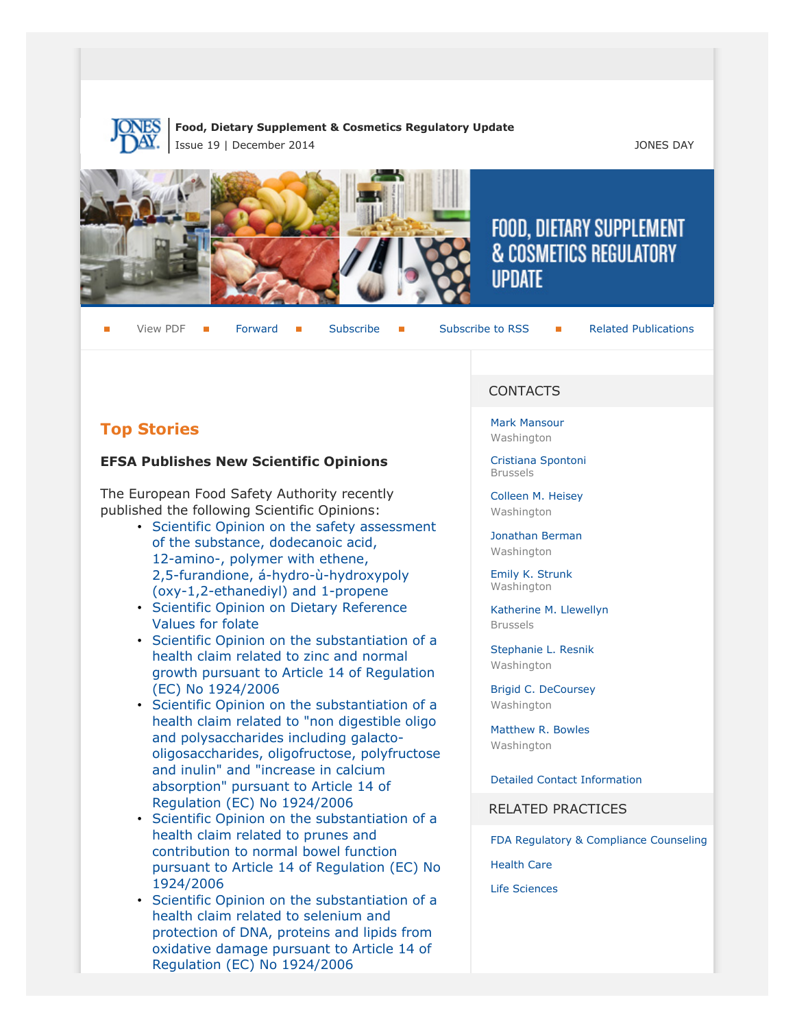

#### **Food, Dietary Supplement & Cosmetics Regulatory Update** Issue 19 | December 2014 JONES DAY







# FOOD, DIETARY SUPPLEMENT & COSMETICS REGULATORY **IIPDATF**

View PDF **[Forward](http://thewritestuff.jonesday.com/cff/68bd1bed7c8c9aff7f2b871020737ced3a888601/) Forward [Subscribe](http://www.jonesday.com/newsknowledge/publications.aspx) Gubscribe to RSS** [Related Publications](http://www.jonesday.com/experiencepractices/servicedetail.aspx?serviceid=593cb647-a5c4-49c3-9086-fedc34b24e1d§ion=Publications)

# **Top Stories**

# **EFSA Publishes New Scientific Opinions**

The European Food Safety Authority recently published the following Scientific Opinions:

- [Scientific Opinion on the safety assessment](http://www.efsa.europa.eu/en/efsajournal/pub/3909.htm) [of the substance, dodecanoic acid,](http://www.efsa.europa.eu/en/efsajournal/pub/3909.htm) [12-amino-, polymer with ethene,](http://www.efsa.europa.eu/en/efsajournal/pub/3909.htm) [2,5-furandione, á-hydro-ù-hydroxypoly](http://www.efsa.europa.eu/en/efsajournal/pub/3909.htm) [\(oxy-1,2-ethanediyl\) and 1-propene](http://www.efsa.europa.eu/en/efsajournal/pub/3909.htm)
- [Scientific Opinion on Dietary Reference](http://www.efsa.europa.eu/en/efsajournal/pub/3893.htm) [Values for folate](http://www.efsa.europa.eu/en/efsajournal/pub/3893.htm)
- [Scientific Opinion on the substantiation of a](http://www.efsa.europa.eu/en/efsajournal/pub/3891.htm) [health claim related to zinc and normal](http://www.efsa.europa.eu/en/efsajournal/pub/3891.htm) [growth pursuant to Article 14 of Regulation](http://www.efsa.europa.eu/en/efsajournal/pub/3891.htm) [\(EC\) No 1924/2006](http://www.efsa.europa.eu/en/efsajournal/pub/3891.htm)
- [Scientific Opinion on the substantiation of a](http://www.efsa.europa.eu/en/efsajournal/pub/3889.htm) [health claim related to "non digestible oligo](http://www.efsa.europa.eu/en/efsajournal/pub/3889.htm) [and polysaccharides including galacto](http://www.efsa.europa.eu/en/efsajournal/pub/3889.htm)[oligosaccharides, oligofructose, polyfructose](http://www.efsa.europa.eu/en/efsajournal/pub/3889.htm) [and inulin" and "increase in calcium](http://www.efsa.europa.eu/en/efsajournal/pub/3889.htm) [absorption" pursuant to Article 14 of](http://www.efsa.europa.eu/en/efsajournal/pub/3889.htm) [Regulation \(EC\) No 1924/2006](http://www.efsa.europa.eu/en/efsajournal/pub/3889.htm)
- [Scientific Opinion on the substantiation of a](http://www.efsa.europa.eu/en/efsajournal/pub/3892.htm) [health claim related to prunes and](http://www.efsa.europa.eu/en/efsajournal/pub/3892.htm) [contribution to normal bowel function](http://www.efsa.europa.eu/en/efsajournal/pub/3892.htm) [pursuant to Article 14 of Regulation \(EC\) No](http://www.efsa.europa.eu/en/efsajournal/pub/3892.htm) [1924/2006](http://www.efsa.europa.eu/en/efsajournal/pub/3892.htm)
- [Scientific Opinion on the substantiation of a](http://www.efsa.europa.eu/en/efsajournal/pub/3890.htm) [health claim related to selenium and](http://www.efsa.europa.eu/en/efsajournal/pub/3890.htm) [protection of DNA, proteins and lipids from](http://www.efsa.europa.eu/en/efsajournal/pub/3890.htm) [oxidative damage pursuant to Article 14 of](http://www.efsa.europa.eu/en/efsajournal/pub/3890.htm) [Regulation \(EC\) No 1924/2006](http://www.efsa.europa.eu/en/efsajournal/pub/3890.htm)

# CONTACTS

[Mark Mansour](http://www.jonesday.com/mmansour) Washington

[Cristiana Spontoni](http://www.jonesday.com/cspontoni) Brussels

[Colleen M. Heisey](http://www.jonesday.com/cmheisey) Washington

[Jonathan Berman](http://www.jonesday.com/jberman) Washington

[Emily K. Strunk](http://www.jonesday.com/estrunk) Washington

[Katherine M. Llewellyn](http://www.jonesday.com/kllewellyn) Brussels

[Stephanie L. Resnik](http://www.jonesday.com/sresnik) Washington

[Brigid C. DeCoursey](http://www.jonesday.com/bdecoursey) Washington

[Matthew R. Bowles](http://www.jonesday.com/mbowles) Washington

[Detailed Contact Information](http://thewritestuff.jonesday.com/cv/68bd1bed7c8c9aff7f2b871020737ced3a888601/p=0#detailed)

RELATED PRACTICES

[FDA Regulatory & Compliance Counseling](http://www.jonesday.com/fdaregulatoryandcompliancecounseling/)

[Health Care](http://www.jonesday.com/Health-Care-Practices)

[Life Sciences](http://www.jonesday.com/lifesciences/)